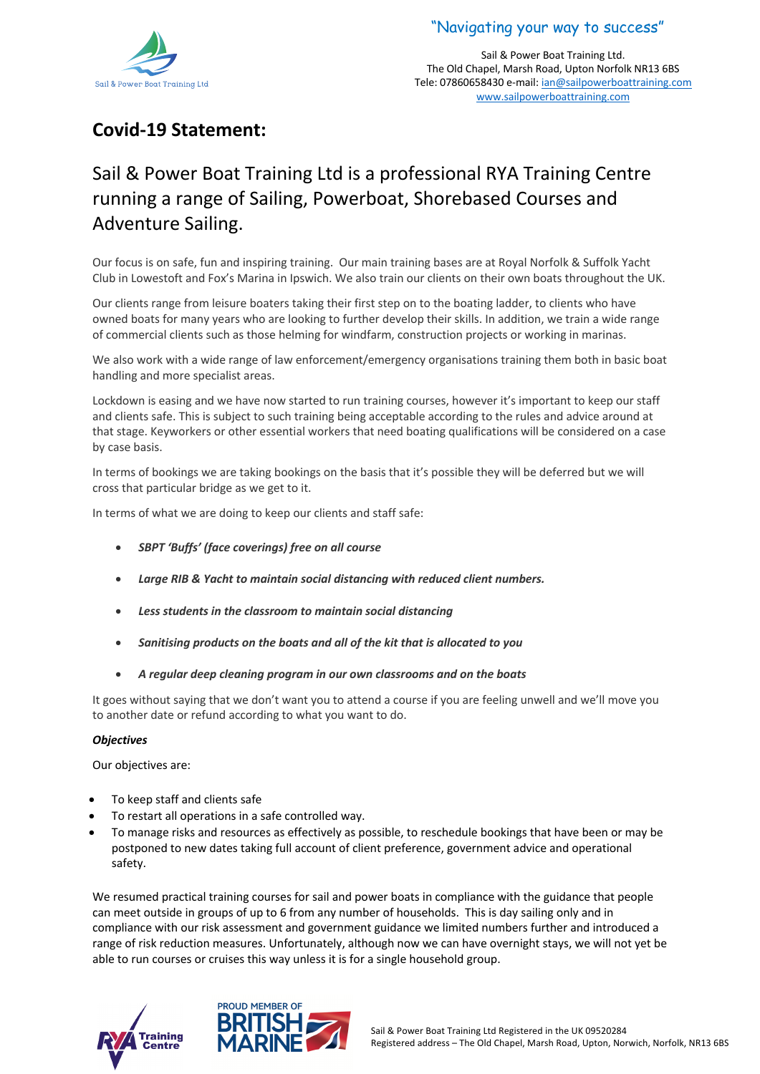

"Navigating your way to success"

Sail & Power Boat Training Ltd. The Old Chapel, Marsh Road, Upton Norfolk NR13 6BS Tele: 07860658430 e-mail: ian@sailpowerboattraining.com www.sailpowerboattraining.com

# **Covid-19 Statement:**

# Sail & Power Boat Training Ltd is a professional RYA Training Centre running a range of Sailing, Powerboat, Shorebased Courses and Adventure Sailing.

Our focus is on safe, fun and inspiring training. Our main training bases are at Royal Norfolk & Suffolk Yacht Club in Lowestoft and Fox's Marina in Ipswich. We also train our clients on their own boats throughout the UK.

Our clients range from leisure boaters taking their first step on to the boating ladder, to clients who have owned boats for many years who are looking to further develop their skills. In addition, we train a wide range of commercial clients such as those helming for windfarm, construction projects or working in marinas.

We also work with a wide range of law enforcement/emergency organisations training them both in basic boat handling and more specialist areas.

Lockdown is easing and we have now started to run training courses, however it's important to keep our staff and clients safe. This is subject to such training being acceptable according to the rules and advice around at that stage. Keyworkers or other essential workers that need boating qualifications will be considered on a case by case basis.

In terms of bookings we are taking bookings on the basis that it's possible they will be deferred but we will cross that particular bridge as we get to it.

In terms of what we are doing to keep our clients and staff safe:

- *SBPT 'Buffs' (face coverings) free on all course*
- *Large RIB & Yacht to maintain social distancing with reduced client numbers.*
- *Less students in the classroom to maintain social distancing*
- *Sanitising products on the boats and all of the kit that is allocated to you*
- *A regular deep cleaning program in our own classrooms and on the boats*

It goes without saying that we don't want you to attend a course if you are feeling unwell and we'll move you to another date or refund according to what you want to do.

## *Objectives*

Our objectives are:

- To keep staff and clients safe
- To restart all operations in a safe controlled way.
- To manage risks and resources as effectively as possible, to reschedule bookings that have been or may be postponed to new dates taking full account of client preference, government advice and operational safety.

We resumed practical training courses for sail and power boats in compliance with the guidance that people can meet outside in groups of up to 6 from any number of households. This is day sailing only and in compliance with our risk assessment and government guidance we limited numbers further and introduced a range of risk reduction measures. Unfortunately, although now we can have overnight stays, we will not yet be able to run courses or cruises this way unless it is for a single household group.